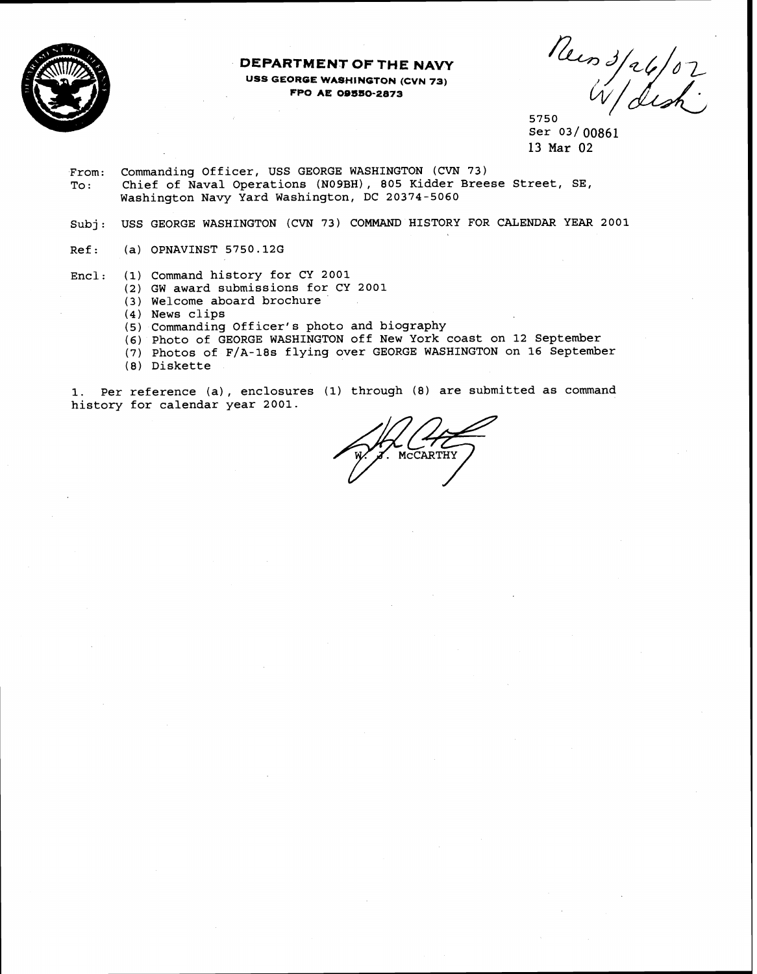

# **DEPARTMENT OF THE NAVY USS GEORGE WASHINGTON (CVN 73) FPO AE 00SSO-2873**

News 3/26/07<br>5750 W/dish

Ser 03/00861 13 Mar 02

From: Commanding Officer, USS GEORGE WASHINGTON (CVN 73) Chief of Naval Operations (NO9BH), 805 Kidder Breese Street, SE, Washington Navy Yard Washington, DC 20374-5060

Subj: USS GEORGE WASHINGTON (CVN 73) COMMAND HISTORY FOR CALENDAR YEAR 2001

Ref: (a) OPNAVINST 5750.12G

Encl: (1) Command history for CY 2001

- (2) GW award submissions for CY 2001
- (3 ) Welcome aboard brochure
- **(4)** News clips
- (5) Commanding Officer's photo and biography
- (6) Photo of GEORGE WASHINGTON off New York coast on 12 September
- (7) Photos of F/A-18s flying over GEORGE WASHINGTON on 16 September (8) Diskette
- 

**1.** Per reference (a), enclosures **(1)** through (8) are submitted as command history for calendar year 2001.

MCCARTHY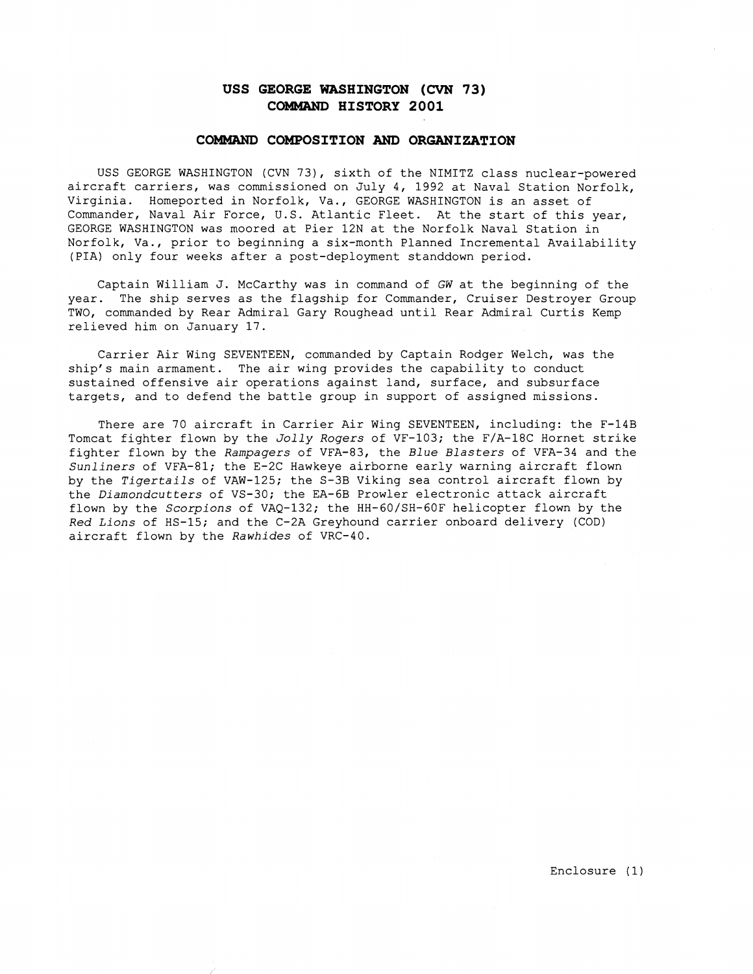# **USS GEORGE WASHINGTON (CVN 73) COMMAND HISTORY 2001**

### **COMMAND COMPOSITION AND ORGANIZATION**

USS GEORGE WASHINGTON (CVN 73), sixth of the NIMITZ class nuclear-powered aircraft carriers, was commissioned on July 4, 1992 at Naval Station Norfolk, Virginia. Homeported in Norfolk, Va., GEORGE WASHINGTON is an asset of Commander, Naval Air Force, U.S. Atlantic Fleet. At the start of this year, GEORGE WASHINGTON was moored at Pier 12N at the Norfolk Naval Station in Norfolk, Va., prior to beginning a six-month Planned Incremental Availability (PIA) only four weeks after a post-deployment standdown period.

Captain William J. McCarthy was in command of GW at the beginning of the year. The ship serves as the flagship for Commander, Cruiser Destroyer Group TWO, commanded by Rear Admiral Gary Roughead until Rear Admiral Curtis Kemp relieved him on January 17.

Carrier Air Wing SEVENTEEN, commanded by Captain Rodger Welch, was the ship's main armament. The air wing provides the capability to conduct sustained offensive air operations against land, surface, and subsurface targets, and to defend the battle group in support of assigned missions.

There are 70 aircraft in Carrier Air Wing SEVENTEEN, including: the F-14B Tomcat fighter flown by the *Jolly Rogers* of VF-103; the F/A-18C Hornet strike fighter flown by the *Rampagers* of VFA-83, the *Blue Blasters* of VFA-34 and the *Sunliners* of VFA-81; the E-2C Hawkeye airborne early warning aircraft flown by the *Tigertails* of VAW-125; the S-3B Viking sea control aircraft flown by the *Diamondcutters* of VS-30; the EA-6B Prowler electronic attack aircraft flown by the *Scorpions* of VAQ-132; the HH-60/SH-60F helicopter flown by the *Red Lions* of HS-15; and the C-2A Greyhound carrier onboard delivery (COD) aircraft flown by the *Rawhides* of VRC-40.

Enclosure (1)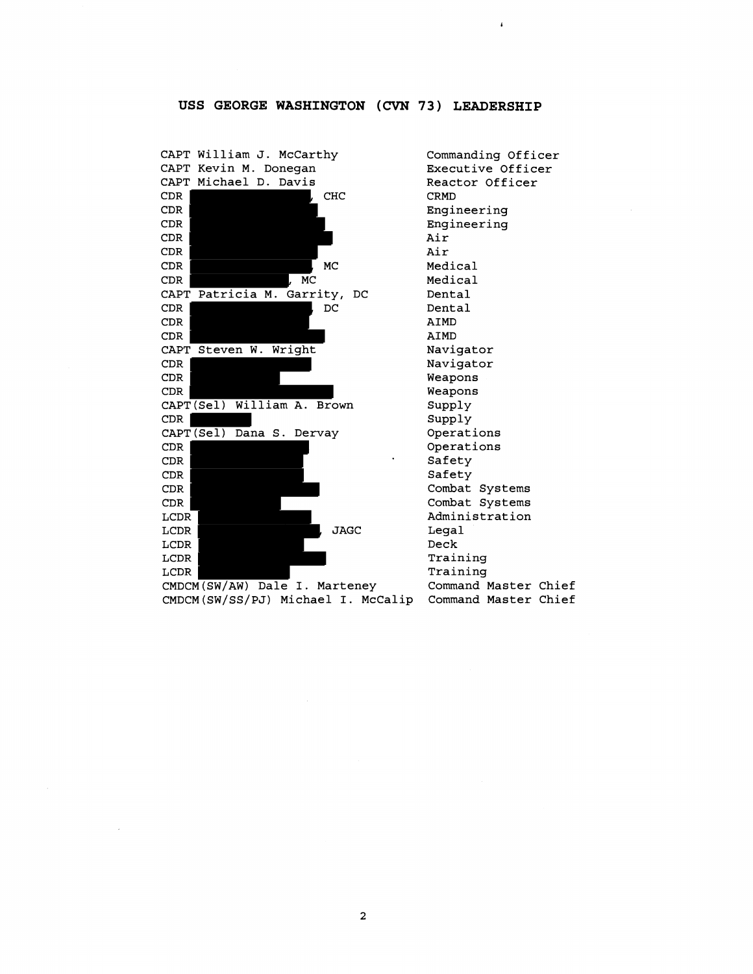# **USS GEORGE WASHINGTON** (CNN **73) LEADERSHIP**



Commanding Officer Executive Officer Reactor Officer CRMD Engineering Engineering Air Air Medical Medical Dental Dental AIMD AIMD Navigator Navigator Weapons Weapons Supply Supply Operations Operations Safety Safety Combat Systems Combat Systems Administration Legal Deck Training Training Command Master Chief

 $\overline{\mathbf{c}}$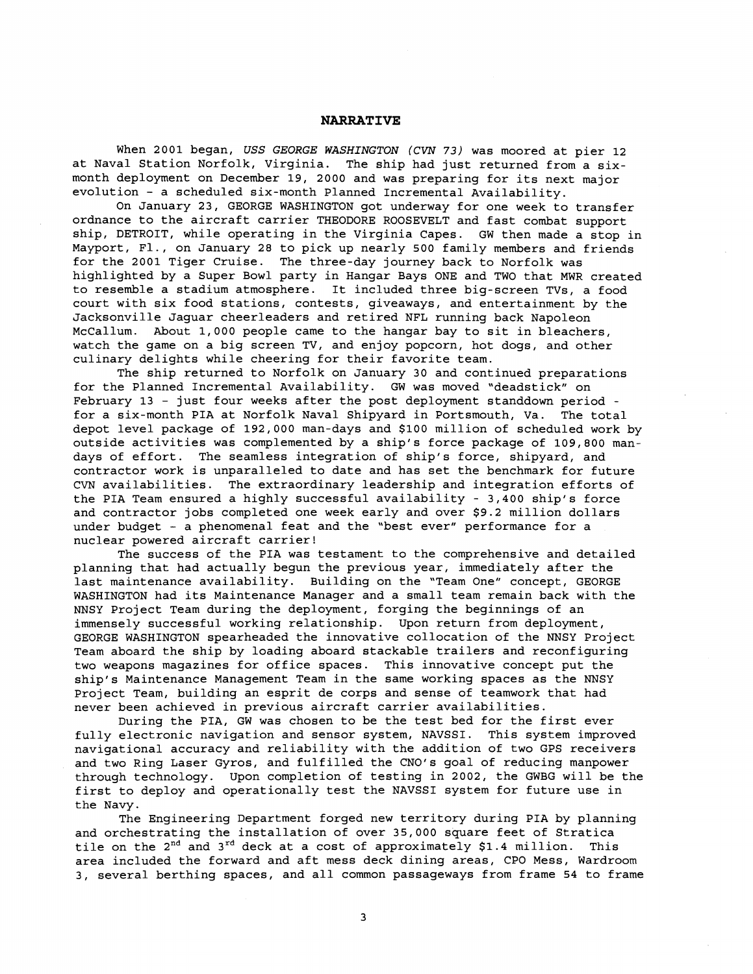# **NARRATIVE**

When 2001 began, USS *GEORGE WASHINGTON* **(CVN** *73)* was moored at pier 12 at Naval Station Norfolk, Virginia. The ship had just returned from a sixmonth deployment on December 19, 2000 and was preparing for its next major evolution - a scheduled six-month Planned Incremental Availability.

On January 23, GEORGE WASHINGTON got underway for one week to transfer ordnance to the aircraft carrier THEODORE ROOSEVELT and fast combat support ship, DETROIT, while operating in the Virginia Capes. GW then made a stop in Mayport, Fl., on January 28 to pick up nearly 500 family members and friends for the 2001 Tiger Cruise. The three-day journey back to Norfolk was highlighted by a Super Bowl party in Hangar Bays ONE and TWO that MWR created to resemble a stadium atmosphere. It included three big-screen TVs, a food court with six food stations, contests, giveaways, and entertainment by the Jacksonville Jaguar cheerleaders and retired NFL running back Napoleon McCallum. About 1,000 people came to the hangar bay to sit in bleachers, watch the game on a big screen **TV,** and enjoy popcorn, hot dogs, and other culinary delights while cheering for their favorite team.

The ship returned to Norfolk on January 30 and continued preparations for the Planned Incremental Availability. GW was moved "deadstick" on February 13 - just four weeks after the post deployment standdown period for a six-month PIA at Norfolk Naval Shipyard in Portsmouth, Va. The total depot level package of 192,000 man-days and \$100 million of scheduled work by outside activities was complemented by a ship's force package of 109,800 mandays of effort. The seamless integration of ship's force, shipyard, and contractor work is unparalleled to date and has set the benchmark for future CVN availabilities. The extraordinary leadership and integration efforts of the PIA Team ensured a highly successful availability - 3,400 ship's force and contractor jobs completed one week early and over \$9.2 million dollars under budget - a phenomenal feat and the "best ever" performance for a nuclear powered aircraft carrier!

The success of the PIA was testament to the comprehensive and detailed planning that had actually begun the previous year, immediately after the last maintenance availability. Building on the "Team One" concept, GEORGE WASHINGTON had its Maintenance Manager and a small team remain back with the NNSY Project Team during the deployment, forging the beginnings of an immensely successful working relationship. Upon return from deployment, GEORGE WASHINGTON spearheaded the innovative collocation of the NNSY Project Team aboard the ship by loading aboard stackable trailers and reconfiguring two weapons magazines for office spaces. This innovative concept put the ship's Maintenance Management Team in the same working spaces as the NNSY Project Team, building an esprit de corps and sense of teamwork that had never been achieved in previous aircraft carrier availabilities.

During the PIA, GW was chosen to be the test bed for the first ever fully electronic navigation and sensor system, NAVSSI. This system improved navigational accuracy and reliability with the addition of two GPS receivers and two Ring Laser Gyros, and fulfilled the CNO's goal of reducing manpower through technology. Upon completion of testing in 2002, the GWBG will be the first to deploy and operationally test the NAVSSI system for future use in the Navy.

The Engineering Department forged new territory during PIA by planning and orchestrating the installation of over 35,000 square feet of Stratica tile on the  $2^{nd}$  and  $3^{rd}$  deck at a cost of approximately \$1.4 million. This area included the forward and aft mess deck dining areas, CPO Mess, Wardroom **3,** several berthing spaces, and all common passageways from frame 54 to frame

 $\overline{3}$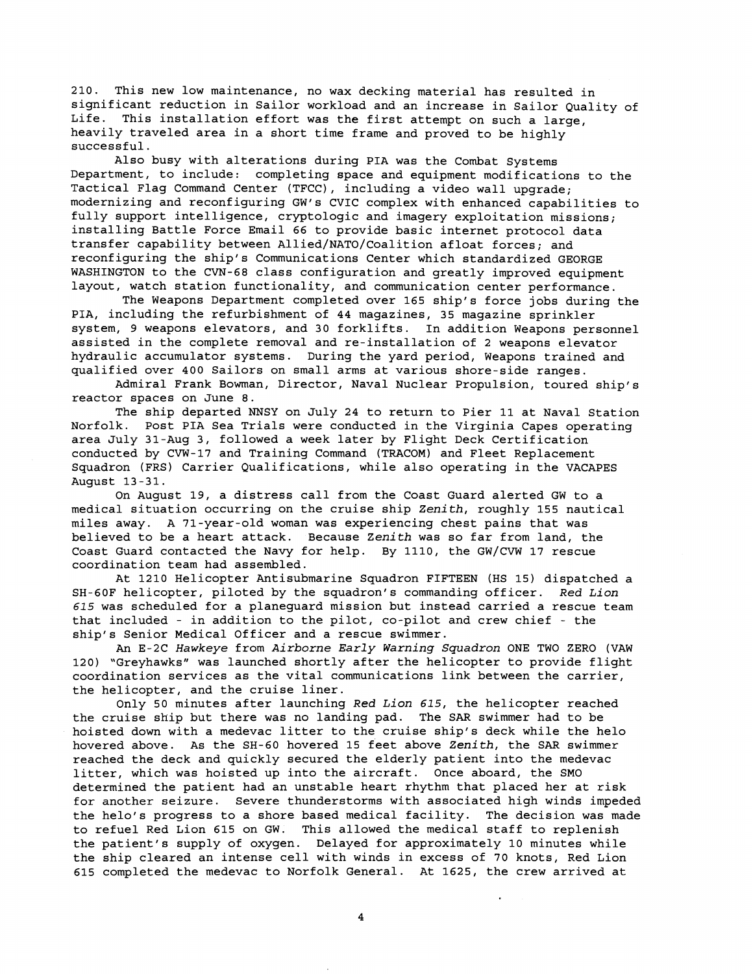210. This new low maintenance, no wax decking material has resulted in significant reduction in Sailor workload and an increase in Sailor Quality of Life. This installation effort was the first attempt on such a large, heavily traveled area in a short time frame and proved to be highly successful.

Also busy with alterations during PIA was the Combat Systems Department, to include: completing space and equipment modifications to the Tactical Flag command Center (TFCC), including a video wall upgrade; modernizing and reconfiguring GW's CVIC complex with enhanced capabilities to fully support intelligence, cryptologic and imagery exploitation missions; installing Battle Force Email 66 to provide basic internet protocol data transfer capability between Allied/NATO/Coalition afloat forces; and reconfiguring the ship's Communications Center which standardized GEORGE WASHINGTON to the CVN-68 class configuration and greatly improved equipment layout, watch station functionality, and communication center performance.

The Weapons Department completed over 165 ship's force jobs during the PIA, including the refurbishment of 44 magazines, 35 magazine sprinkler system, 9 weapons elevators, and 30 forklifts. In addition Weapons personnel assisted in the complete removal and re-installation of 2 weapons elevator hydraulic accumulator systems. During the yard period, Weapons trained and qualified over 400 Sailors on small arms at various shore-side ranges.

Admiral Frank Bowman, Director, Naval Nuclear Propulsion, toured ship's reactor spaces on June 8.

The ship departed NNSY on July 24 to return to Pier 11 at Naval Station Norfolk. Post PIA Sea Trials were conducted in the Virginia Capes operating area July 31-Aug 3, followed a week later by Flight Deck Certification conducted by CVW-17 and Training Command (TRACOM) and Fleet Replacement Squadron (FRS) Carrier Qualifications, while also operating in the VACAPES August 13-31.

On August 19, a distress call from the Coast Guard alerted GW to a medical situation occurring on the cruise ship Zenith, roughly 155 nautical miles away. A 71-year-old woman was experiencing chest pains that was believed to be a heart attack. Because Zenith was so far from land, the Coast Guard contacted the Navy for help. By 1110, the Gw/CVW 17 rescue coordination team had assembled.

At 1210 Helicopter Antisubmarine Squadron FIFTEEN (HS 15) dispatched a SH-60F helicopter, piloted by the squadron's commanding officer. Red Lion 615 was scheduled for a planeguard mission but instead carried a rescue team that included - in addition to the pilot, co-pilot and crew chief - the ship's Senior Medical officer and a rescue swimmer.

An E-2C Hawkeye from Airborne Early Warning Squadron ONE TWO ZERO (VAW 120) "Greyhawks" was launched shortly after the helicopter to provide flight coordination services as the vital communications link between the carrier, the helicopter, and the cruise liner.

Only 50 minutes after launching Red Lion 615, the helicopter reached the cruise ship but there was no landing pad. The SAR swimmer had to be hoisted down with a medevac litter to the cruise ship's deck while the helo hovered above. As the SH-60 hovered 15 feet above Zenith, the SAR swimmer reached the deck and quickly secured the elderly patient into the medevac litter, which was hoisted up into the aircraft. Once aboard, the SMO determined the patient had an unstable heart rhythm that placed her at risk for another seizure. Severe thunderstorms with associated high winds impeded the helo's progress to a shore based medical facility. The decision was made to refuel Red Lion 615 on GW. This allowed the medical staff to replenish the patient's supply of oxygen. Delayed for approximately 10 minutes while the ship cleared an intense cell with winds in excess of 70 knots, Red Lion 615 completed the medevac to Norfolk General. At 1625, the crew arrived at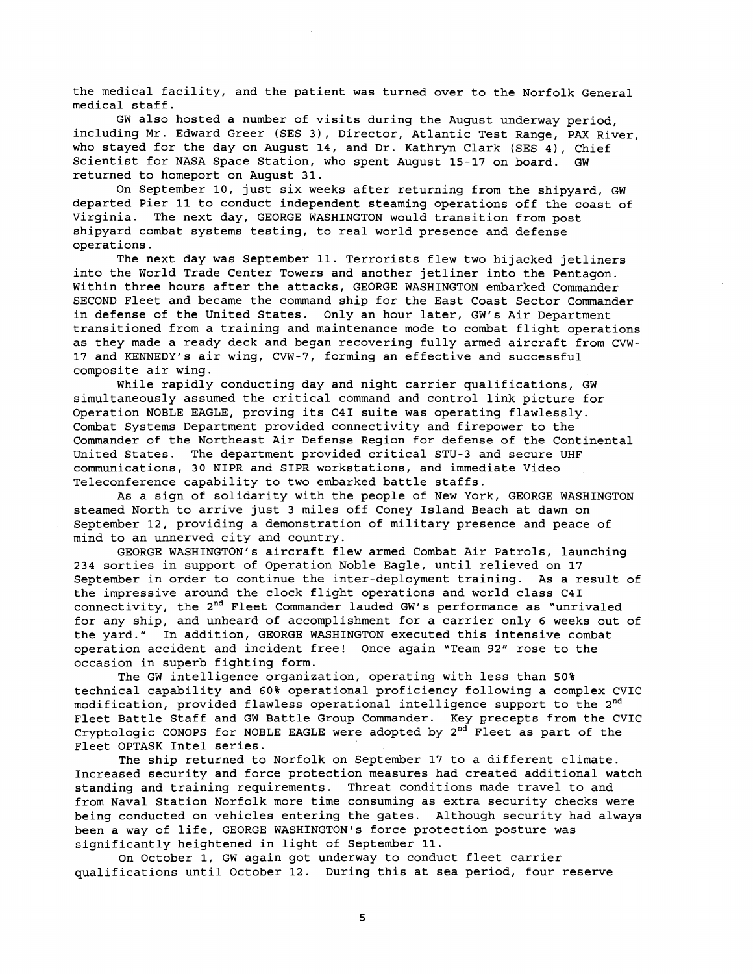the medical facility, and the patient was turned over to the Norfolk General medical staff.

GW also hosted a number of visits during the August underway period, including Mr. Edward Greer (SES 3), Director, Atlantic Test Range, PAX River, who stayed for the day on August 14, and Dr. Kathryn Clark (SES 4), Chief Scientist for NASA Space Station, who spent August 15-17 on board. GW returned to homeport on August 31.

On September 10, just six weeks after returning from the shipyard, GW departed Pier 11 to conduct independent steaming operations off the coast of Virginia. The next day, GEORGE WASHINGTON would transition from post shipyard combat systems testing, to real world presence and defense operations.

The next day was September 11. Terrorists flew two hijacked jetliners into the World Trade Center Towers and another jetliner into the Pentagon. Within three hours after the attacks, GEORGE WASHINGTON embarked Commander SECOND Fleet and became the command ship for the East Coast Sector Commander in defense of the United States. Only an hour later, GW's Air Department transitioned from a training and maintenance mode to combat flight operations as they made a ready deck and began recovering fully armed aircraft from CVW-17 and KENNEDY'S air wing, CVW-7, forming an effective and successful composite air wing.

While rapidly conducting day and night carrier qualifications, GW simultaneously assumed the critical command and control link picture for Operation NOBLE EAGLE, proving its C41 suite was operating flawlessly. Combat Systems Department provided connectivity and firepower to the Commander of the Northeast Air Defense Region for defense of the Continental United States. The department provided critical STU-3 and secure UHF communications, 30 NIPR and SIPR workstations, and immediate Video Teleconference capability to two embarked battle staffs.

As a sign of solidarity with the people of New York, GEORGE WASHINGTON steamed North to arrive just 3 miles off Coney Island Beach at dawn on September 12, providing a demonstration of military presence and peace of mind to an unnerved city and country.

GEORGE WASHINGTON'S aircraft flew armed Combat Air Patrols, launching 234 sorties in support of Operation Noble Eagle, until relieved on 17 September in order to continue the inter-deployment training. As a result of the impressive around the clock flight operations and world class C41 connectivity, the 2<sup>nd</sup> Fleet Commander lauded GW's performance as "unrivaled for any ship, and unheard of accomplishment for a carrier only 6 weeks out of the yard." In addition, GEORGE WASHINGTON executed this intensive combat operation accident and incident free! Once again 'Team 92" rose to the occasion in superb fighting form.

The GW intelligence organization, operating with less than 50% technical capability and 60% operational proficiency following a complex CVIC modification, provided flawless operational intelligence support to the 2<sup>nd</sup> Fleet Battle Staff and GW Battle Group Commander. Key precepts from the CVIC Cryptologic CONOPS for NOBLE EAGLE were adopted by  $2<sup>nd</sup>$  Fleet as part of the Fleet OPTASK Intel series.

The ship returned to Norfolk on September 17 to a different climate. Increased security and force protection measures had created additional watch standing and training requirements. Threat conditions made travel to and from Naval Station Norfolk more time consuming as extra security checks were being conducted on vehicles entering the gates. Although security had always been a way of life, GEORGE WASHINGTON'S force protection posture was significantly heightened in light of September 11.

On October 1, GW again got underway to conduct fleet carrier qualifications until October 12. During this at sea period, four reserve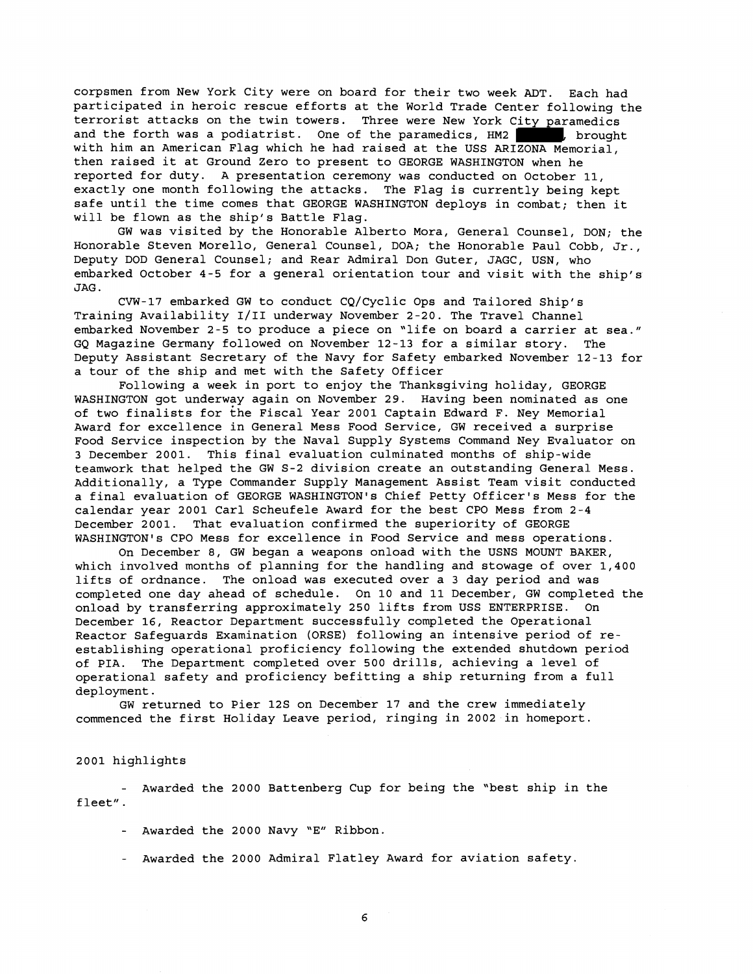corpsmen from New York City were on board for their two week ADT. Each had participated in heroic rescue efforts at the World Trade Center following the terrorist attacks on the twin towers. Three were New York City paramedics and the forth was a podiatrist. One of the paramedics, HM2 , brought with him an American Flag which he had raised at the USS ARIZONA Memorial, then raised it at Ground Zero to present to GEORGE WASHINGTON when he reported for duty. A presentation ceremony was conducted on October 11, exactly one month following the attacks. The Flag is currently being kept safe until the time comes that GEORGE WASHINGTON deploys in combat; then it will be flown as the ship's Battle Flag.

GW was visited by the Honorable Alberto Mora, General Counsel, DON; the Honorable Steven Morello, General Counsel, DOA; the Honorable Paul Cobb, Jr., Deputy DOD General Counsel; and Rear Admiral Don Guter, JAGC, USN, who embarked October 4-5 for a general orientation tour and visit with the ship's JAG.

CVW-17 embarked GW to conduct CQ/Cyclic Ops and Tailored Ship's Training Availability 1/11 underway November 2-20. The Travel Channel embarked November 2-5 to produce a piece on "life on board a carrier at sea." GQ Magazine Germany followed on November 12-13 for a similar story. The Deputy Assistant Secretary of the Navy for Safety embarked November 12-13 for a tour of the ship and met with the Safety Officer

Following a week in port to enjoy the Thanksgiving holiday, GEORGE WASHINGTON got underway again on November 29. Having been nominated as one of two finalists for khe Fiscal Year 2001 Captain Edward F. Ney Memorial Award for excellence in General Mess Food Service, GW received a surprise Food Service inspection by the Naval Supply Systems Command Ney Evaluator on *3* December 2001. This final evaluation culminated months of ship-wide teamwork that helped the GW S-2 division create an outstanding General Mess. Additionally, a Type Commander Supply Management Assist Team visit conducted a final evaluation of GEORGE WASHINGTON'S Chief Petty Officer's Mess for the calendar year 2001 Carl Scheufele Award for the best CPO Mess from 2-4 December 2001. That evaluation confirmed the superiority of GEORGE WASHINGTON'S CPO Mess for excellence in Food service and mess operations.

On December 8, GW began a weapons onload with the USNS MOUNT BAKER, which involved months of planning for the handling and stowage of over 1,400 lifts of ordnance. The onload was executed over a 3 day period and was completed one day ahead of schedule. On 10 and 11 December, GW completed the onload by transferring approximately 250 lifts from USS ENTERPRISE. On December 16, Reactor Department successfully completed the Operational Reactor Safeguards Examination (ORSE) following an intensive period of reestablishing operational proficiency following the extended shutdown period of PIA. The Department completed over 500 drills, achieving a level of operational safety and proficiency befitting a ship returning from a full deployment.

GW returned to Pier 12s on December 17 and the crew immediately commenced the first Holiday Leave period, ringing in 2002 in homeport.

# 2001 highlights

- Awarded the 2000 Battenberg Cup for being the "best ship in the fleet" .

- Awarded the 2000 Navy "E" Ribbon.
- Awarded the 2000 Admiral Flatley Award for aviation safety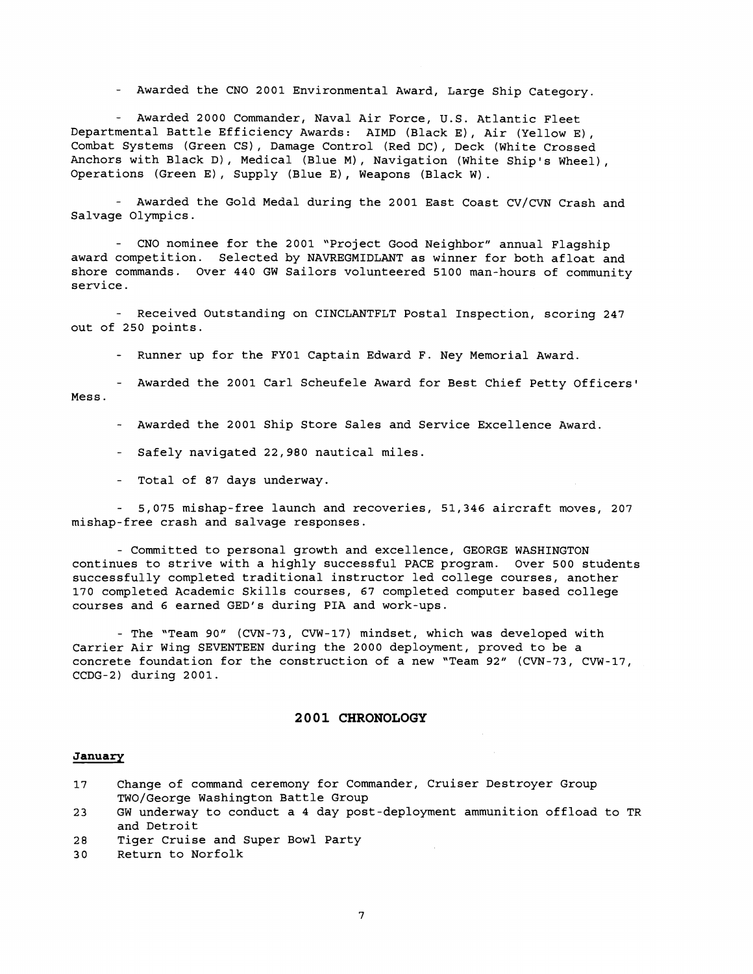- Awarded the CNO 2001 Environmental Award, Large Ship Category.

- Awarded 2000 Commander, Naval Air Force, U.S. Atlantic Fleet Departmental Battle Efficiency Awards: AIMD (Black E), Air (Yellow E), Combat Systems (Green CS), Damage Control (Red DC), Deck (White Crossed Anchors with Black D), Medical (Blue M), Navigation (White Ship's Wheel), Operations (Green E), Supply (Blue E), Weapons (Black W).

- Awarded the Gold Medal during the 2001 East Coast CV/CVN Crash and Salvage Olympics.

- CNO nominee for the 2001 "Project Good Neighbor" annual Flagship award competition. Selected by NAVREGMIDLANT as winner for both afloat and shore commands. Over 440 GW Sailors volunteered 5100 man-hours of community service.

- Received Outstanding on CINCLANTFLT Postal Inspection, scoring 247 out of 250 points.

- Runner up for the FYOl Captain Edward F. Ney Memorial Award.

- Awarded the 2001 Carl Scheufele Award for Best Chief Petty Officers' Mess.

- Awarded the 2001 Ship Store Sales and Service Excellence Award.

- Safely navigated 22,980 nautical miles

- Total of 87 days underway.

- 5,075 mishap-free launch and recoveries, 51,346 aircraft moves, 207 mishap-free crash and salvage responses.

- Committed to personal growth and excellence, GEORGE WASHINGTON continues to strive with a highly successful PACE program. Over 500 students successfully completed traditional instructor led college courses, another 170 completed Academic Skills courses, 67 completed computer based college courses and 6 earned GED's during PIA and work-ups.

- The "Team 90" (CVN-73, CVW-17) mindset, which was developed with Carrier Air Wing SEVENTEEN during the 2000 deployment, proved to be a concrete foundation for the construction of a new "Team 92" (CVN-73, CVW-17, CCDG-2) during 2001.

#### **2001 CHRONOLOGY**

#### **January**

| 17 |                                    |  | Change of command ceremony for Commander, Cruiser Destroyer Group |  |  |
|----|------------------------------------|--|-------------------------------------------------------------------|--|--|
|    | TWO/George Washington Battle Group |  |                                                                   |  |  |

- 23 GW underway to conduct a 4 day post-deployment ammunition offload to TR and Detroit
- 28 Tiger Cruise and Super Bowl Party
- 30 Return to Norfolk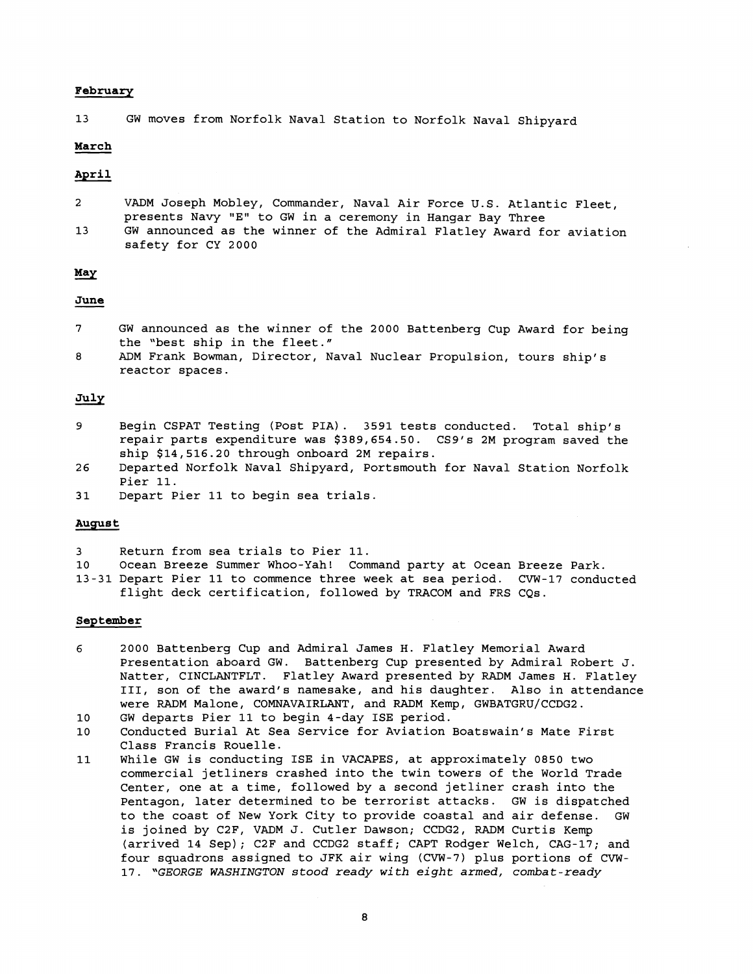#### **February**

13 GW moves from Norfolk Naval Station to Norfolk Naval Shipyard

# **March**

### **April**

|  | VADM Joseph Mobley, Commander, Naval Air Force U.S. Atlantic Fleet, |  |
|--|---------------------------------------------------------------------|--|
|  | presents Navy "E" to GW in a ceremony in Hangar Bay Three           |  |

13 GW announced as the winner of the Admiral Flatley Award for aviation safety for CY 2000 13 GW<br>Ba:<br>**May**<br>June<br>7 GW

- 7 GW announced as the winner of the 2000 Battenberg Cup Award for being the "best ship in the fleet."
- 8 ADM Frank Bowman, Director, Naval Nuclear Propulsion, tours ship's reactor spaces.

# **July**

- 9 Begin CSPAT Testing (Post PIA) . 3591 tests conducted. Total ship's repair parts expenditure was \$389,654.50. CS9's 2M program saved the ship \$14,516.20 through onboard 2M repairs.
- 26 Departed Norfolk Naval Shipyard, Portsmouth for Naval Station Norfolk Pier 11.
- 31 Depart Pier 11 to begin sea trials.

# **August**

- 3 Return from sea trials to Pier 11.
- 10 Ocean Breeze Summer Whoo-Yah! Command party at Ocean Breeze Park.
- 13-31 Depart Pier 11 to commence three week at sea period. CVW-17 conducted flight deck certification, followed by TRACOM and FRS CQs.

## **September**

- 6 2000 Battenberg Cup and Admiral James H. Flatley Memorial Award Presentation aboard GW. Battenberg Cup presented by Admiral Robert J. Natter, CINCLANTFLT. Flatley Award presented by RADM James H. Flatley 111, son of the award's namesake, and his daughter. Also in attendance were RADM Malone, COMNAVAIRLANT, and RADM Kemp, GWBATGRU/CCDG2.
- 10 GW departs Pier 11 to begin 4-day ISE period.
- 10 Conducted Burial At Sea Service for Aviation Boatswain's Mate First Class Francis Rouelle.
- 11 While GW is conducting ISE in VACAPES, at approximately 0850 two commercial jetliners crashed into the twin towers of the World Trade Center, one at a time, followed by a second jetliner crash into the Pentagon, later determined to be terrorist attacks. GW is dispatched to the coast of New York City to provide coastal and air defense. GW is joined by C2F, VADM J. Cutler Dawson; CCDG2, RADM Curtis Kemp (arrived 14 Sep); C2F and CCDG2 staff; CAPT Rodger Welch, CAG-17; and four squadrons assigned to JFK air wing (CVW-7) plus portions of CVW-17. *"GEORGE WASHINGTON stood ready with eight armed, combat-ready*